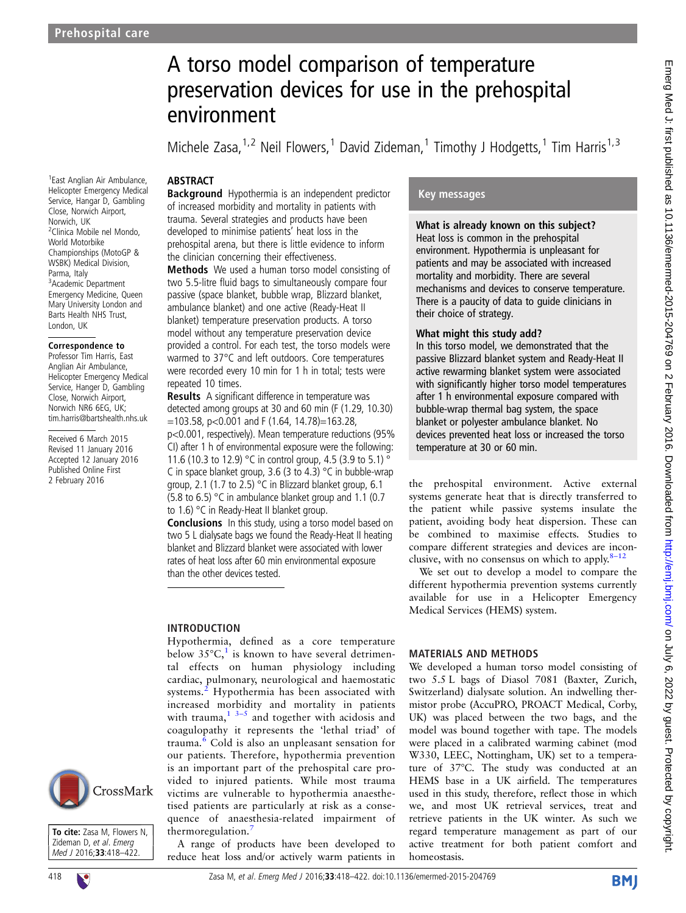1 East Anglian Air Ambulance, Helicopter Emergency Medical Service, Hangar D, Gambling Close, Norwich Airport, Norwich, UK

2 Clinica Mobile nel Mondo, World Motorbike Championships (MotoGP & WSBK) Medical Division,

Parma, Italy

# A torso model comparison of temperature preservation devices for use in the prehospital environment

Michele Zasa,<sup>1,2</sup> Neil Flowers,<sup>1</sup> David Zideman,<sup>1</sup> Timothy J Hodgetts,<sup>1</sup> Tim Harris<sup>1,3</sup>

## **ABSTRACT**

Background Hypothermia is an independent predictor of increased morbidity and mortality in patients with trauma. Several strategies and products have been developed to minimise patients' heat loss in the prehospital arena, but there is little evidence to inform the clinician concerning their effectiveness.

Methods We used a human torso model consisting of two 5.5-litre fluid bags to simultaneously compare four passive (space blanket, bubble wrap, Blizzard blanket, ambulance blanket) and one active (Ready-Heat II blanket) temperature preservation products. A torso model without any temperature preservation device provided a control. For each test, the torso models were warmed to 37°C and left outdoors. Core temperatures were recorded every 10 min for 1 h in total; tests were repeated 10 times.

Results A significant difference in temperature was detected among groups at 30 and 60 min (F (1.29, 10.30) =103.58, p<0.001 and F (1.64, 14.78)=163.28,

p<0.001, respectively). Mean temperature reductions (95% CI) after 1 h of environmental exposure were the following: 11.6 (10.3 to 12.9) °C in control group, 4.5 (3.9 to 5.1) ° C in space blanket group, 3.6 (3 to 4.3) °C in bubble-wrap group, 2.1 (1.7 to 2.5) °C in Blizzard blanket group, 6.1 (5.8 to 6.5) °C in ambulance blanket group and 1.1 (0.7 to 1.6) °C in Ready-Heat II blanket group.

Conclusions In this study, using a torso model based on two 5 L dialysate bags we found the Ready-Heat II heating blanket and Blizzard blanket were associated with lower rates of heat loss after 60 min environmental exposure than the other devices tested.

## INTRODUCTION

Hypothermia, defined as a core temperature below  $35^{\circ}$ C,<sup>[1](#page-3-0)</sup> is known to have several detrimental effects on human physiology including cardiac, pulmonary, neurological and haemostatic systems.<sup>[2](#page-3-0)</sup> Hypothermia has been associated with increased morbidity and mortality in patients with trauma,  $1^{3-5}$  and together with acidosis and coagulopathy it represents the 'lethal triad' of trauma.[6](#page-4-0) Cold is also an unpleasant sensation for our patients. Therefore, hypothermia prevention is an important part of the prehospital care provided to injured patients. While most trauma victims are vulnerable to hypothermia anaesthetised patients are particularly at risk as a consequence of anaesthesia-related impairment of thermoregulation.[7](#page-4-0)

A range of products have been developed to reduce heat loss and/or actively warm patients in

# Key messages

What is already known on this subject? Heat loss is common in the prehospital environment. Hypothermia is unpleasant for patients and may be associated with increased mortality and morbidity. There are several mechanisms and devices to conserve temperature. There is a paucity of data to guide clinicians in their choice of strategy.

#### What might this study add?

In this torso model, we demonstrated that the passive Blizzard blanket system and Ready-Heat II active rewarming blanket system were associated with significantly higher torso model temperatures after 1 h environmental exposure compared with bubble-wrap thermal bag system, the space blanket or polyester ambulance blanket. No devices prevented heat loss or increased the torso temperature at 30 or 60 min.

the prehospital environment. Active external systems generate heat that is directly transferred to the patient while passive systems insulate the patient, avoiding body heat dispersion. These can be combined to maximise effects. Studies to compare different strategies and devices are inconclusive, with no consensus on which to apply. $8-12$  $8-12$ 

We set out to develop a model to compare the different hypothermia prevention systems currently available for use in a Helicopter Emergency Medical Services (HEMS) system.

## MATERIALS AND METHODS

We developed a human torso model consisting of two 5.5 L bags of Diasol 7081 (Baxter, Zurich, Switzerland) dialysate solution. An indwelling thermistor probe (AccuPRO, PROACT Medical, Corby, UK) was placed between the two bags, and the model was bound together with tape. The models were placed in a calibrated warming cabinet (mod W330, LEEC, Nottingham, UK) set to a temperature of 37°C. The study was conducted at an HEMS base in a UK airfield. The temperatures used in this study, therefore, reflect those in which we, and most UK retrieval services, treat and retrieve patients in the UK winter. As such we regard temperature management as part of our active treatment for both patient comfort and homeostasis.

3 Academic Department Emergency Medicine, Queen Mary University London and Barts Health NHS Trust, London, UK Correspondence to Professor Tim Harris, East Anglian Air Ambulance, Helicopter Emergency Medical Service, Hanger D, Gambling Close, Norwich Airport,

Received 6 March 2015 Revised 11 January 2016 Accepted 12 January 2016 Published Online First 2 February 2016

Norwich NR6 6EG, UK; tim.harris@bartshealth.nhs.uk



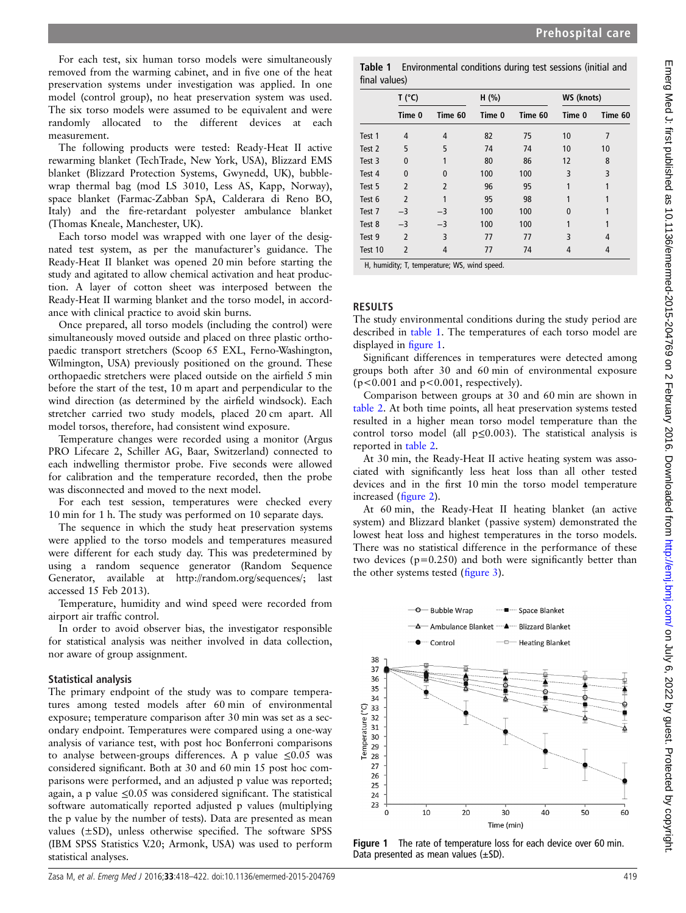For each test, six human torso models were simultaneously removed from the warming cabinet, and in five one of the heat preservation systems under investigation was applied. In one model (control group), no heat preservation system was used. The six torso models were assumed to be equivalent and were randomly allocated to the different devices at each measurement.

The following products were tested: Ready-Heat II active rewarming blanket (TechTrade, New York, USA), Blizzard EMS blanket (Blizzard Protection Systems, Gwynedd, UK), bubblewrap thermal bag (mod LS 3010, Less AS, Kapp, Norway), space blanket (Farmac-Zabban SpA, Calderara di Reno BO, Italy) and the fire-retardant polyester ambulance blanket (Thomas Kneale, Manchester, UK).

Each torso model was wrapped with one layer of the designated test system, as per the manufacturer's guidance. The Ready-Heat II blanket was opened 20 min before starting the study and agitated to allow chemical activation and heat production. A layer of cotton sheet was interposed between the Ready-Heat II warming blanket and the torso model, in accordance with clinical practice to avoid skin burns.

Once prepared, all torso models (including the control) were simultaneously moved outside and placed on three plastic orthopaedic transport stretchers (Scoop 65 EXL, Ferno-Washington, Wilmington, USA) previously positioned on the ground. These orthopaedic stretchers were placed outside on the airfield 5 min before the start of the test, 10 m apart and perpendicular to the wind direction (as determined by the airfield windsock). Each stretcher carried two study models, placed 20 cm apart. All model torsos, therefore, had consistent wind exposure.

Temperature changes were recorded using a monitor (Argus PRO Lifecare 2, Schiller AG, Baar, Switzerland) connected to each indwelling thermistor probe. Five seconds were allowed for calibration and the temperature recorded, then the probe was disconnected and moved to the next model.

For each test session, temperatures were checked every 10 min for 1 h. The study was performed on 10 separate days.

The sequence in which the study heat preservation systems were applied to the torso models and temperatures measured were different for each study day. This was predetermined by using a random sequence generator (Random Sequence Generator, available at [http://random.org/sequences/;](http://random.org/sequences/) last accessed 15 Feb 2013).

Temperature, humidity and wind speed were recorded from airport air traffic control.

In order to avoid observer bias, the investigator responsible for statistical analysis was neither involved in data collection, nor aware of group assignment.

#### Statistical analysis

The primary endpoint of the study was to compare temperatures among tested models after 60 min of environmental exposure; temperature comparison after 30 min was set as a secondary endpoint. Temperatures were compared using a one-way analysis of variance test, with post hoc Bonferroni comparisons to analyse between-groups differences. A p value  $\leq 0.05$  was considered significant. Both at 30 and 60 min 15 post hoc comparisons were performed, and an adjusted p value was reported; again, a p value  $\leq 0.05$  was considered significant. The statistical software automatically reported adjusted p values (multiplying the p value by the number of tests). Data are presented as mean values  $(\pm SD)$ , unless otherwise specified. The software SPSS (IBM SPSS Statistics V.20; Armonk, USA) was used to perform statistical analyses.

Table 1 Environmental conditions during test sessions (initial and final values)

|         | T (°C)                   |                | H (%)  |         | WS (knots) |         |
|---------|--------------------------|----------------|--------|---------|------------|---------|
|         | Time 0                   | Time 60        | Time 0 | Time 60 | Time 0     | Time 60 |
| Test 1  | 4                        | 4              | 82     | 75      | 10         | 7       |
| Test 2  | 5                        | 5              | 74     | 74      | 10         | 10      |
| Test 3  | $\mathbf{0}$             |                | 80     | 86      | 12         | 8       |
| Test 4  | 0                        | $\Omega$       | 100    | 100     | 3          | 3       |
| Test 5  | $\overline{2}$           | $\overline{2}$ | 96     | 95      |            |         |
| Test 6  | $\overline{\phantom{a}}$ |                | 95     | 98      |            |         |
| Test 7  | $-3$                     | $-3$           | 100    | 100     | 0          |         |
| Test 8  | $-3$                     | $-3$           | 100    | 100     |            |         |
| Test 9  | $\overline{2}$           | 3              | 77     | 77      | 3          | 4       |
| Test 10 | 2                        | 4              | 77     | 74      | 4          | 4       |

H, humidity; T, temperature; WS, wind speed.

# RESULTS

The study environmental conditions during the study period are described in table 1. The temperatures of each torso model are displayed in figure 1.

Significant differences in temperatures were detected among groups both after 30 and 60 min of environmental exposure  $(p<0.001$  and  $p<0.001$ , respectively).

Comparison between groups at 30 and 60 min are shown in [table 2.](#page-2-0) At both time points, all heat preservation systems tested resulted in a higher mean torso model temperature than the control torso model (all  $p \le 0.003$ ). The statistical analysis is reported in [table 2](#page-2-0).

At 30 min, the Ready-Heat II active heating system was associated with significantly less heat loss than all other tested devices and in the first 10 min the torso model temperature increased (fi[gure 2](#page-2-0)).

At 60 min, the Ready-Heat II heating blanket (an active system) and Blizzard blanket (passive system) demonstrated the lowest heat loss and highest temperatures in the torso models. There was no statistical difference in the performance of these two devices ( $p=0.250$ ) and both were significantly better than the other systems tested (fi[gure 3\)](#page-3-0).



Figure 1 The rate of temperature loss for each device over 60 min. Data presented as mean values  $(\pm SD)$ .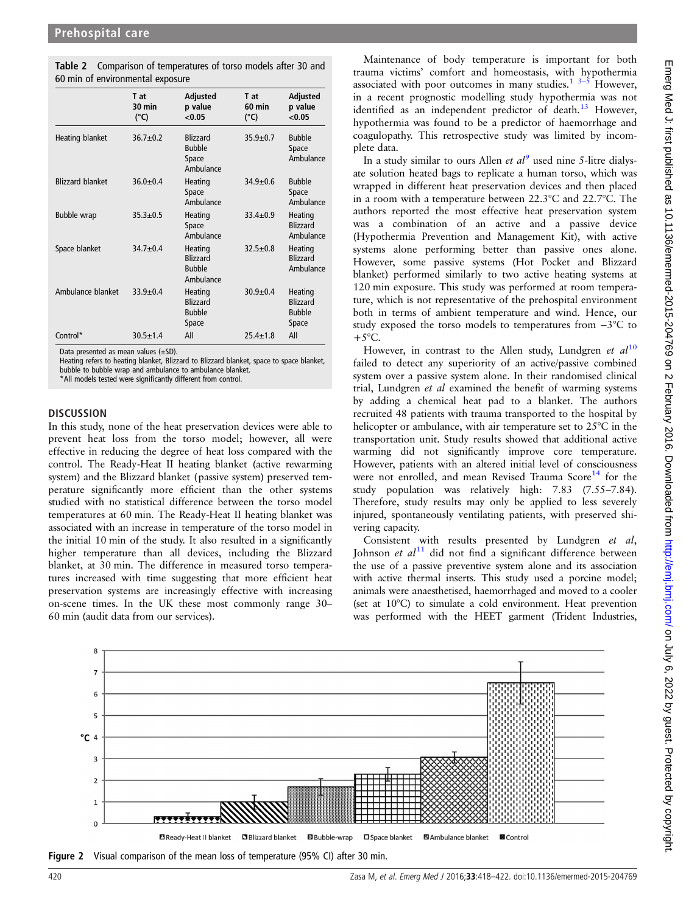<span id="page-2-0"></span>Table 2 Comparison of temperatures of torso models after 30 and 60 min of environmental exposure

|                         | T at<br>30 min<br>$(^{\circ}C)$ | Adjusted<br>p value<br>< 0.05                            | T at<br>60 min<br>$(^{\circ}C)$ | Adjusted<br>p value<br>< 0.05                        |
|-------------------------|---------------------------------|----------------------------------------------------------|---------------------------------|------------------------------------------------------|
| Heating blanket         | $36.7 \pm 0.2$                  | <b>Blizzard</b><br><b>Bubble</b><br>Space<br>Ambulance   | $35.9 \pm 0.7$                  | <b>Bubble</b><br>Space<br>Ambulance                  |
| <b>Blizzard blanket</b> | $36.0 \pm 0.4$                  | Heating<br>Space<br>Ambulance                            | $34.9 + 0.6$                    | <b>Bubble</b><br>Space<br>Ambulance                  |
| <b>Bubble wrap</b>      | $35.3 \pm 0.5$                  | Heating<br>Space<br>Ambulance                            | $33.4 \pm 0.9$                  | Heating<br>Blizzard<br>Ambulance                     |
| Space blanket           | $34.7 \pm 0.4$                  | Heating<br><b>Blizzard</b><br><b>Bubble</b><br>Ambulance | $32.5 \pm 0.8$                  | Heating<br><b>Blizzard</b><br>Ambulance              |
| Ambulance blanket       | $33.9 + 0.4$                    | Heating<br><b>Blizzard</b><br><b>Bubble</b><br>Space     | $30.9 + 0.4$                    | Heating<br><b>Blizzard</b><br><b>Bubble</b><br>Space |
| Control*                | $30.5 \pm 1.4$                  | All                                                      | $25.4 \pm 1.8$                  | All                                                  |

Data presented as mean values (±SD).

Heating refers to heating blanket, Blizzard to Blizzard blanket, space to space blanket, bubble to bubble wrap and ambulance to ambulance blanket.

\*All models tested were significantly different from control.

#### **DISCUSSION**

In this study, none of the heat preservation devices were able to prevent heat loss from the torso model; however, all were effective in reducing the degree of heat loss compared with the control. The Ready-Heat II heating blanket (active rewarming system) and the Blizzard blanket (passive system) preserved temperature significantly more efficient than the other systems studied with no statistical difference between the torso model temperatures at 60 min. The Ready-Heat II heating blanket was associated with an increase in temperature of the torso model in the initial 10 min of the study. It also resulted in a significantly higher temperature than all devices, including the Blizzard blanket, at 30 min. The difference in measured torso temperatures increased with time suggesting that more efficient heat preservation systems are increasingly effective with increasing on-scene times. In the UK these most commonly range 30– 60 min (audit data from our services).

Maintenance of body temperature is important for both trauma victims' comfort and homeostasis, with hypothermia associated with poor outcomes in many studies.<sup>[1](#page-3-0)</sup>  $3-5$  $3-5$  However, in a recent prognostic modelling study hypothermia was not identified as an independent predictor of death.<sup>[13](#page-4-0)</sup> However, hypothermia was found to be a predictor of haemorrhage and coagulopathy. This retrospective study was limited by incomplete data.

In a study similar to ours Allen et  $al^9$  $al^9$  used nine 5-litre dialysate solution heated bags to replicate a human torso, which was wrapped in different heat preservation devices and then placed in a room with a temperature between 22.3°C and 22.7°C. The authors reported the most effective heat preservation system was a combination of an active and a passive device (Hypothermia Prevention and Management Kit), with active systems alone performing better than passive ones alone. However, some passive systems (Hot Pocket and Blizzard blanket) performed similarly to two active heating systems at 120 min exposure. This study was performed at room temperature, which is not representative of the prehospital environment both in terms of ambient temperature and wind. Hence, our study exposed the torso models to temperatures from −3°C to  $+5^{\circ}$ C.

However, in contrast to the Allen study, Lundgren et  $al^{10}$  $al^{10}$  $al^{10}$ failed to detect any superiority of an active/passive combined system over a passive system alone. In their randomised clinical trial, Lundgren et al examined the benefit of warming systems by adding a chemical heat pad to a blanket. The authors recruited 48 patients with trauma transported to the hospital by helicopter or ambulance, with air temperature set to 25°C in the transportation unit. Study results showed that additional active warming did not significantly improve core temperature. However, patients with an altered initial level of consciousness were not enrolled, and mean Revised Trauma Score<sup>[14](#page-4-0)</sup> for the study population was relatively high: 7.83 (7.55–7.84). Therefore, study results may only be applied to less severely injured, spontaneously ventilating patients, with preserved shivering capacity.

Consistent with results presented by Lundgren et al, Johnson et  $al<sup>11</sup>$  $al<sup>11</sup>$  $al<sup>11</sup>$  did not find a significant difference between the use of a passive preventive system alone and its association with active thermal inserts. This study used a porcine model: animals were anaesthetised, haemorrhaged and moved to a cooler (set at 10°C) to simulate a cold environment. Heat prevention was performed with the HEET garment (Trident Industries,



Figure 2 Visual comparison of the mean loss of temperature (95% CI) after 30 min.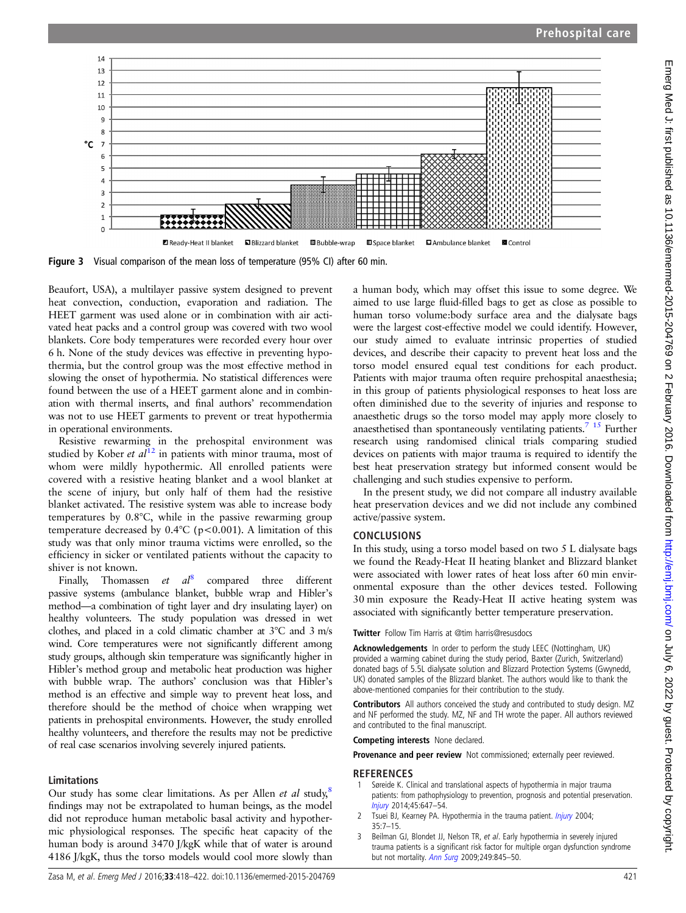<span id="page-3-0"></span>

Figure 3 Visual comparison of the mean loss of temperature (95% CI) after 60 min.

Beaufort, USA), a multilayer passive system designed to prevent heat convection, conduction, evaporation and radiation. The HEET garment was used alone or in combination with air activated heat packs and a control group was covered with two wool blankets. Core body temperatures were recorded every hour over 6 h. None of the study devices was effective in preventing hypothermia, but the control group was the most effective method in slowing the onset of hypothermia. No statistical differences were found between the use of a HEET garment alone and in combination with thermal inserts, and final authors' recommendation was not to use HEET garments to prevent or treat hypothermia in operational environments.

Resistive rewarming in the prehospital environment was studied by Kober et  $a\overline{l}^{12}$  $a\overline{l}^{12}$  $a\overline{l}^{12}$  in patients with minor trauma, most of whom were mildly hypothermic. All enrolled patients were covered with a resistive heating blanket and a wool blanket at the scene of injury, but only half of them had the resistive blanket activated. The resistive system was able to increase body temperatures by 0.8°C, while in the passive rewarming group temperature decreased by  $0.4^{\circ}$ C (p<0.001). A limitation of this study was that only minor trauma victims were enrolled, so the efficiency in sicker or ventilated patients without the capacity to shiver is not known.

Finally, Thomassen et  $al^8$  $al^8$  compared three different passive systems (ambulance blanket, bubble wrap and Hibler's method—a combination of tight layer and dry insulating layer) on healthy volunteers. The study population was dressed in wet clothes, and placed in a cold climatic chamber at 3°C and 3 m/s wind. Core temperatures were not significantly different among study groups, although skin temperature was significantly higher in Hibler's method group and metabolic heat production was higher with bubble wrap. The authors' conclusion was that Hibler's method is an effective and simple way to prevent heat loss, and therefore should be the method of choice when wrapping wet patients in prehospital environments. However, the study enrolled healthy volunteers, and therefore the results may not be predictive of real case scenarios involving severely injured patients.

#### Limitations

Our study has some clear limitations. As per Allen *et al* study,<sup>[8](#page-4-0)</sup> findings may not be extrapolated to human beings, as the model did not reproduce human metabolic basal activity and hypothermic physiological responses. The specific heat capacity of the human body is around 3470 J/kgK while that of water is around 4186 J/kgK, thus the torso models would cool more slowly than

a human body, which may offset this issue to some degree. We aimed to use large fluid-filled bags to get as close as possible to human torso volume:body surface area and the dialysate bags were the largest cost-effective model we could identify. However, our study aimed to evaluate intrinsic properties of studied devices, and describe their capacity to prevent heat loss and the torso model ensured equal test conditions for each product. Patients with major trauma often require prehospital anaesthesia; in this group of patients physiological responses to heat loss are often diminished due to the severity of injuries and response to anaesthetic drugs so the torso model may apply more closely to anaesthetised than spontaneously ventilating patients[.7 15](#page-4-0) Further research using randomised clinical trials comparing studied devices on patients with major trauma is required to identify the best heat preservation strategy but informed consent would be challenging and such studies expensive to perform.

In the present study, we did not compare all industry available heat preservation devices and we did not include any combined active/passive system.

# CONCLUSIONS

In this study, using a torso model based on two 5 L dialysate bags we found the Ready-Heat II heating blanket and Blizzard blanket were associated with lower rates of heat loss after 60 min environmental exposure than the other devices tested. Following 30 min exposure the Ready-Heat II active heating system was associated with significantly better temperature preservation.

Twitter Follow Tim Harris at [@tim harris@resusdocs](http://twitter.com/tim harris@resusdocs)

Acknowledgements In order to perform the study LEEC (Nottingham, UK) provided a warming cabinet during the study period, Baxter (Zurich, Switzerland) donated bags of 5.5L dialysate solution and Blizzard Protection Systems (Gwynedd, UK) donated samples of the Blizzard blanket. The authors would like to thank the above-mentioned companies for their contribution to the study.

Contributors All authors conceived the study and contributed to study design. MZ and NF performed the study. MZ, NF and TH wrote the paper. All authors reviewed and contributed to the final manuscript.

Competing interests None declared.

Provenance and peer review Not commissioned; externally peer reviewed.

## REFERENCES

- Søreide K. Clinical and translational aspects of hypothermia in major trauma patients: from pathophysiology to prevention, prognosis and potential preservation. [Injury](http://dx.doi.org/10.1016/j.injury.2012.12.027) 2014;45:647–54.
- 2 Tsuei BJ, Kearney PA. Hypothermia in the trauma patient. *[Injury](http://dx.doi.org/10.1016/S0020-1383(03)00309-7)* 2004; 35:7–15.
- Beilman GJ, Blondet JJ, Nelson TR, et al. Early hypothermia in severely injured trauma patients is a significant risk factor for multiple organ dysfunction syndrome but not mortality. [Ann Surg](http://dx.doi.org/10.1097/SLA.0b013e3181a41f6f) 2009;249:845-50.